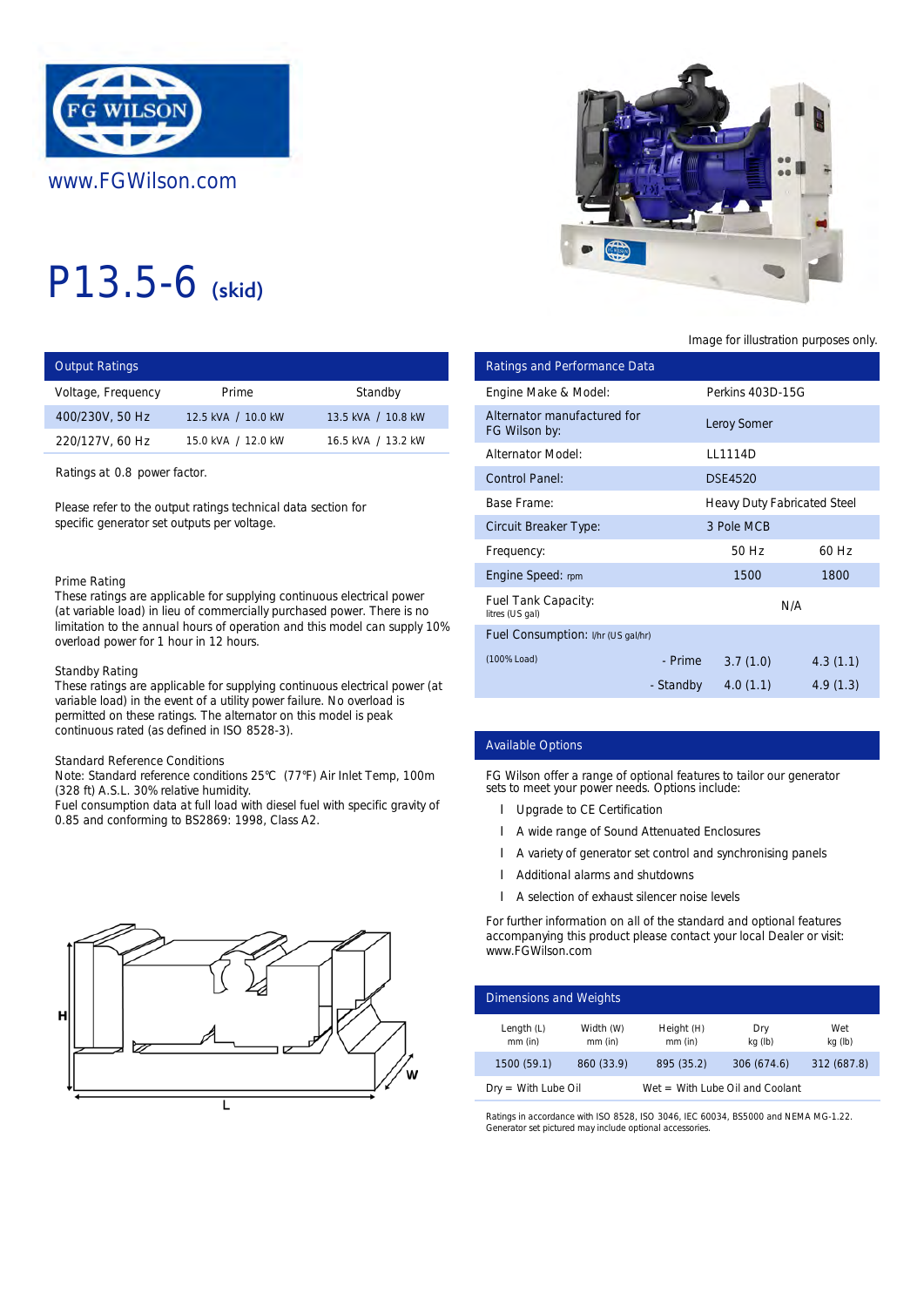

# P13.5-6 (skid)

| <b>Output Ratings</b> |                    |                    | Ratings and Performance Data |           |
|-----------------------|--------------------|--------------------|------------------------------|-----------|
| Voltage, Frequency    | Prime              | Standby            | Engine Make & Model:         | Perkins 4 |
| 400/230V, 50 Hz       | 12.5 kVA / 10.0 kW | 13.5 kVA / 10.8 kW | Alternator manufactured for  | Leroy Sor |
| 220/127V, 60 Hz       | 15.0 kVA / 12.0 kW | 16.5 kVA / 13.2 kW | FG Wilson by:                |           |
|                       |                    |                    | <b>Alternator Model:</b>     | LL1114D   |

Ratings at 0.8 power factor.

Please refer to the output ratings technical data section for specific generator set outputs per voltage.

#### Prime Rating

These ratings are applicable for supplying continuous electrical power (at variable load) in lieu of commercially purchased power. There is no limitation to the annual hours of operation and this model can supply 10% overload power for 1 hour in 12 hours.

#### Standby Rating

These ratings are applicable for supplying continuous electrical power (at variable load) in the event of a utility power failure. No overload is permitted on these ratings. The alternator on this model is peak continuous rated (as defined in ISO 8528-3).

# Standard Reference Conditions

Note: Standard reference conditions 25°C (77°F) Air Inlet Temp, 100m (328 ft) A.S.L. 30% relative humidity.

Fuel consumption data at full load with diesel fuel with specific gravity of 0.85 and conforming to BS2869: 1998, Class A2.





Image for illustration purposes only.

| ings                                                                                          |                                                                                                                                                                                                        |                                                                 | <b>Ratings and Performance Data</b>             |                                                                                                                                                                      |                                                                      |                                                                                                                                                                                                             |                |
|-----------------------------------------------------------------------------------------------|--------------------------------------------------------------------------------------------------------------------------------------------------------------------------------------------------------|-----------------------------------------------------------------|-------------------------------------------------|----------------------------------------------------------------------------------------------------------------------------------------------------------------------|----------------------------------------------------------------------|-------------------------------------------------------------------------------------------------------------------------------------------------------------------------------------------------------------|----------------|
| equency                                                                                       | Prime                                                                                                                                                                                                  | Standby                                                         | Engine Make & Model:                            |                                                                                                                                                                      |                                                                      | Perkins 403D-15G                                                                                                                                                                                            |                |
| 50 Hz                                                                                         | 12.5 kVA / 10.0 kW                                                                                                                                                                                     | 13.5 kVA / 10.8 kW                                              | Alternator manufactured for<br>FG Wilson by:    |                                                                                                                                                                      |                                                                      | <b>Leroy Somer</b>                                                                                                                                                                                          |                |
| 60 Hz                                                                                         | 15.0 kVA / 12.0 kW                                                                                                                                                                                     | 16.5 kVA / 13.2 kW                                              | <b>Alternator Model:</b>                        |                                                                                                                                                                      |                                                                      | LL1114D                                                                                                                                                                                                     |                |
| 0.8 power factor.                                                                             |                                                                                                                                                                                                        |                                                                 | <b>Control Panel:</b>                           |                                                                                                                                                                      |                                                                      | <b>DSE4520</b>                                                                                                                                                                                              |                |
|                                                                                               | to the output ratings technical data section for                                                                                                                                                       |                                                                 | <b>Base Frame:</b>                              |                                                                                                                                                                      |                                                                      | <b>Heavy Duty Fabricated Steel</b>                                                                                                                                                                          |                |
|                                                                                               | erator set outputs per voltage.                                                                                                                                                                        |                                                                 | <b>Circuit Breaker Type:</b>                    |                                                                                                                                                                      |                                                                      | 3 Pole MCB                                                                                                                                                                                                  |                |
|                                                                                               |                                                                                                                                                                                                        |                                                                 | Frequency:                                      |                                                                                                                                                                      |                                                                      | 50 Hz                                                                                                                                                                                                       | 60 Hz          |
| ٦g                                                                                            |                                                                                                                                                                                                        |                                                                 | Engine Speed: rpm                               |                                                                                                                                                                      |                                                                      | 1500                                                                                                                                                                                                        | 1800           |
|                                                                                               | gs are applicable for supplying continuous electrical power<br>load) in lieu of commercially purchased power. There is no                                                                              |                                                                 | Fuel Tank Capacity:<br>litres (US gal)          |                                                                                                                                                                      |                                                                      | N/A                                                                                                                                                                                                         |                |
| o the annual hours of operation and this model can supply 10%<br>ower for 1 hour in 12 hours. |                                                                                                                                                                                                        |                                                                 | Fuel Consumption: I/hr (US gal/hr)              |                                                                                                                                                                      |                                                                      |                                                                                                                                                                                                             |                |
| ıtina                                                                                         |                                                                                                                                                                                                        |                                                                 | (100% Load)                                     |                                                                                                                                                                      | - Prime                                                              | 3.7(1.0)                                                                                                                                                                                                    | 4.3(1.1)       |
|                                                                                               | d) in the event of a utility power failure. No overload is<br>In these ratings. The alternator on this model is peak<br>rated (as defined in ISO 8528-3).                                              | gs are applicable for supplying continuous electrical power (at |                                                 |                                                                                                                                                                      | - Standby                                                            | 4.0(1.1)                                                                                                                                                                                                    | 4.9(1.3)       |
|                                                                                               |                                                                                                                                                                                                        |                                                                 | <b>Available Options</b>                        |                                                                                                                                                                      |                                                                      |                                                                                                                                                                                                             |                |
| eference Conditions                                                                           | dard reference conditions 25°C (77°F) Air Inlet Temp, 100m<br>.L. 30% relative humidity.<br>mption data at full load with diesel fuel with specific gravity of<br>onforming to BS2869: 1998, Class A2. |                                                                 | sets to meet your power needs. Options include: | <b>Upgrade to CE Certification</b><br>A wide range of Sound Attenuated Enclosures<br>Additional alarms and shutdowns<br>A selection of exhaust silencer noise levels |                                                                      | FG Wilson offer a range of optional features to tailor our generator<br>A variety of generator set control and synchronising panels<br>For further information on all of the standard and optional features |                |
|                                                                                               |                                                                                                                                                                                                        | www.FGWilson.com<br><b>Dimensions and Weights</b>               |                                                 |                                                                                                                                                                      | accompanying this product please contact your local Dealer or visit: |                                                                                                                                                                                                             |                |
|                                                                                               |                                                                                                                                                                                                        |                                                                 | Length $(L)$<br>mm (in)                         | Width (W)<br>mm (in)                                                                                                                                                 | Height (H)<br>$mm$ (in)                                              | Dry<br>kg (lb)                                                                                                                                                                                              | Wet<br>kg (lb) |
|                                                                                               |                                                                                                                                                                                                        |                                                                 | 1500 (59.1)                                     | 860 (33.9)                                                                                                                                                           | 895 (35.2)                                                           | 306 (674.6)                                                                                                                                                                                                 | 312 (687.8)    |

# Available Options

- **I** Upgrade to CE Certification
- A wide range of Sound Attenuated Enclosures
- l A variety of generator set control and synchronising panels
- Additional alarms and shutdowns
- l A selection of exhaust silencer noise levels

| <b>Dimensions and Weights</b> |                      |                         |                                   |                |  |
|-------------------------------|----------------------|-------------------------|-----------------------------------|----------------|--|
| Length $(L)$<br>$mm$ (in)     | Width (W)<br>mm (in) | Height (H)<br>$mm$ (in) | Dry<br>kg (lb)                    | Wet<br>kg (lb) |  |
| 1500 (59.1)                   | 860 (33.9)           | 895 (35.2)              | 306 (674.6)                       | 312 (687.8)    |  |
| $Dry = With Lube Oil$         |                      |                         | $Wet = With Lube Oil and Coolant$ |                |  |

Ratings in accordance with ISO 8528, ISO 3046, IEC 60034, BS5000 and NEMA MG-1.22. Generator set pictured may include optional accessories.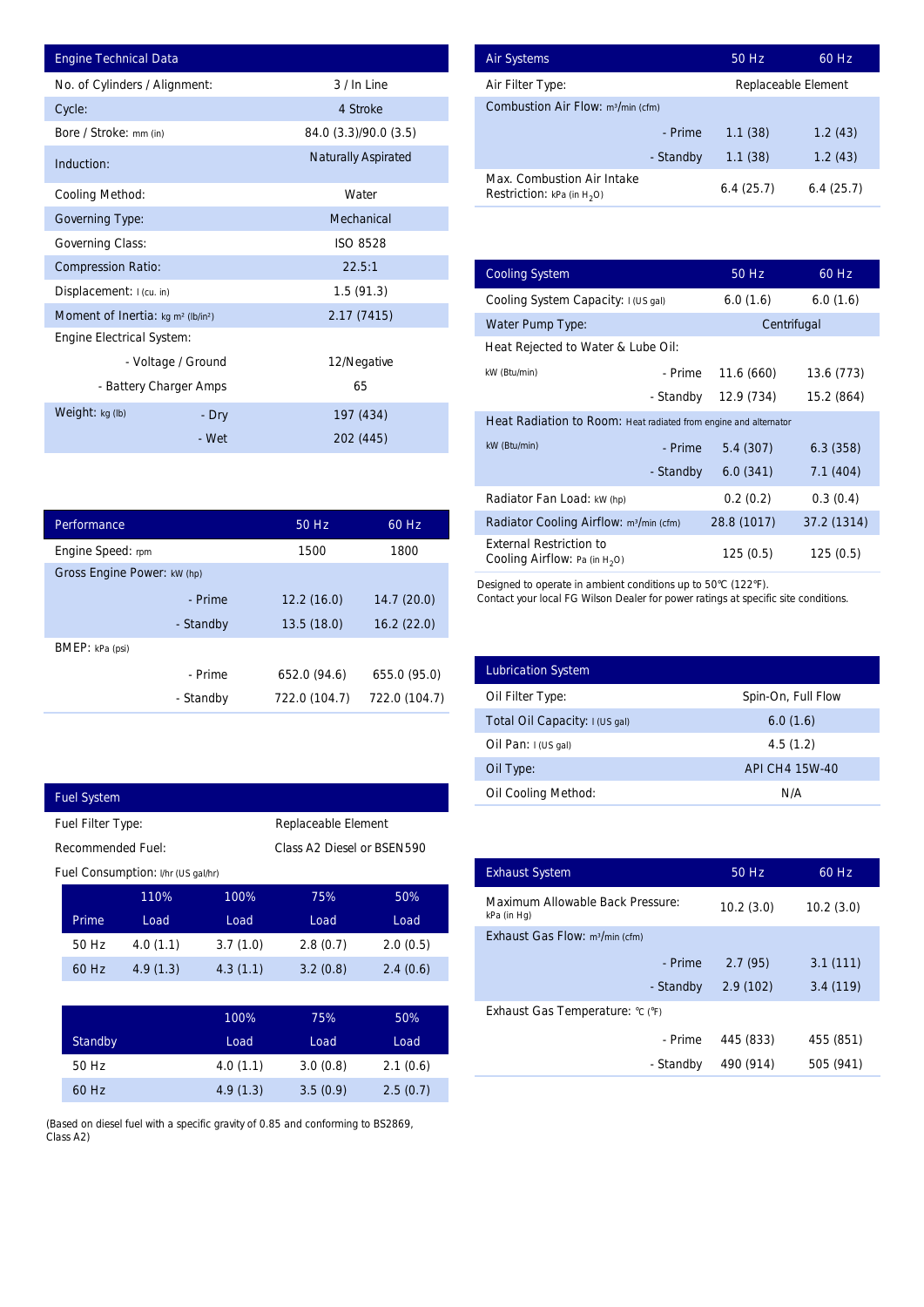| <b>Engine Technical Data</b>                         |       |                            | <b>Air Systems</b>               |
|------------------------------------------------------|-------|----------------------------|----------------------------------|
| No. of Cylinders / Alignment:                        |       | 3 / In Line                | Air Filter Ty                    |
| Cycle:                                               |       | 4 Stroke                   | Combustion                       |
| Bore / Stroke: mm (in)                               |       | 84.0 (3.3)/90.0 (3.5)      |                                  |
| Induction:                                           |       | <b>Naturally Aspirated</b> |                                  |
| <b>Cooling Method:</b>                               |       | Water                      | Max. Comb<br><b>Restriction:</b> |
| <b>Governing Type:</b>                               |       | Mechanical                 |                                  |
| <b>Governing Class:</b>                              |       | <b>ISO 8528</b>            |                                  |
| <b>Compression Ratio:</b>                            |       | 22.5:1                     | <b>Cooling Sys</b>               |
| Displacement: I (cu. in)                             |       | 1.5(91.3)                  | <b>Cooling Sys</b>               |
| Moment of Inertia: $kg \, m^2$ (lb/in <sup>2</sup> ) |       | 2.17(7415)                 | Water Pum                        |
| <b>Engine Electrical System:</b>                     |       |                            | <b>Heat Reject</b>               |
| - Voltage / Ground                                   |       | 12/Negative                | kW (Btu/min)                     |
| - Battery Charger Amps                               |       | 65                         |                                  |
| Weight: kg (lb)                                      | - Dry | 197 (434)                  | <b>Heat Radia</b>                |
|                                                      | - Wet | 202 (445)                  | kW (Rtu/min)                     |

| <b>Performance</b>          |           | 50 Hz         | 60 Hz         |
|-----------------------------|-----------|---------------|---------------|
| Engine Speed: rpm           |           | 1500          | 1800          |
| Gross Engine Power: kW (hp) |           |               |               |
|                             | - Prime   | 12.2(16.0)    | 14.7(20.0)    |
|                             | - Standby | 13.5(18.0)    | 16.2(22.0)    |
| <b>BMEP</b> : $kPa$ (psi)   |           |               |               |
|                             | - Prime   | 652.0 (94.6)  | 655.0 (95.0)  |
|                             | - Standby | 722.0 (104.7) | 722.0 (104.7) |

| <b>Fuel System</b>                              |          |          |          |  |  |  |
|-------------------------------------------------|----------|----------|----------|--|--|--|
| Replaceable Element<br>Fuel Filter Type:        |          |          |          |  |  |  |
| Recommended Fuel:<br>Class A2 Diesel or BSEN590 |          |          |          |  |  |  |
| Fuel Consumption: I/hr (US gal/hr)              |          |          |          |  |  |  |
| 110%                                            | 100%     | 75%      | 50%      |  |  |  |
| Load                                            | Load     | Load     | Load     |  |  |  |
| 4.0(1.1)                                        | 3.7(1.0) | 2.8(0.7) | 2.0(0.5) |  |  |  |
| 4.9(1.3)                                        | 4.3(1.1) | 3.2(0.8) | 2.4(0.6) |  |  |  |
|                                                 |          |          |          |  |  |  |

|                | 100%     | 75%      | 50%      |
|----------------|----------|----------|----------|
| <b>Standby</b> | Load     | Load     | Load     |
| 50 Hz          | 4.0(1.1) | 3.0(0.8) | 2.1(0.6) |
| 60 Hz          | 4.9(1.3) | 3.5(0.9) | 2.5(0.7) |

(Based on diesel fuel with a specific gravity of 0.85 and conforming to BS2869, Class A2)

| <b>Air Systems</b>                                                 | 50 Hz     | 60 Hz               |
|--------------------------------------------------------------------|-----------|---------------------|
| Air Filter Type:                                                   |           | Replaceable Element |
| Combustion Air Flow: m <sup>3</sup> /min (cfm)                     |           |                     |
| - Prime                                                            | 1.1(38)   | 1.2(43)             |
| - Standby                                                          | 1.1(38)   | 1.2(43)             |
| Max. Combustion Air Intake<br><b>Restriction:</b> kPa (in $H_2O$ ) | 6.4(25.7) | 6.4(25.7)           |

|          |                               | 3 / In Line                   | Air Filter Type:                                                                                                |             | Replaceable Element |
|----------|-------------------------------|-------------------------------|-----------------------------------------------------------------------------------------------------------------|-------------|---------------------|
|          |                               | 4 Stroke                      | Combustion Air Flow: m <sup>3/min</sup> (cfm)                                                                   |             |                     |
|          |                               | 84.0 (3.3)/90.0 (3.5)         | - Prime                                                                                                         | 1.1(38)     | 1.2(43)             |
|          |                               | <b>Naturally Aspirated</b>    | - Standby                                                                                                       | 1.1(38)     | 1.2(43)             |
|          |                               | Water                         | Max. Combustion Air Intake<br><b>Restriction:</b> kPa (in $H_2O$ )                                              | 6.4(25.7)   | 6.4(25.7)           |
|          |                               | Mechanical                    |                                                                                                                 |             |                     |
|          |                               | <b>ISO 8528</b>               |                                                                                                                 |             |                     |
|          |                               | 22.5:1                        | <b>Cooling System</b>                                                                                           | 50 Hz       | 60 Hz               |
|          |                               | 1.5(91.3)                     | Cooling System Capacity: I (US gal)                                                                             | 6.0(1.6)    | 6.0(1.6)            |
|          |                               | 2.17(7415)                    | Water Pump Type:                                                                                                |             | Centrifugal         |
|          |                               |                               | Heat Rejected to Water & Lube Oil:                                                                              |             |                     |
| ٦d       |                               | 12/Negative                   | kW (Btu/min)<br>- Prime                                                                                         | 11.6(660)   | 13.6 (773)          |
| ps       |                               | 65                            | - Standby                                                                                                       | 12.9 (734)  | 15.2 (864)          |
| ry       |                               | 197 (434)                     | Heat Radiation to Room: Heat radiated from engine and alternator                                                |             |                     |
| 'et      |                               | 202 (445)                     | kW (Btu/min)<br>- Prime                                                                                         | 5.4(307)    | 6.3(358)            |
|          |                               |                               | - Standby                                                                                                       | 6.0(341)    | 7.1(404)            |
|          |                               |                               |                                                                                                                 |             |                     |
|          |                               |                               | Radiator Fan Load: kW (hp)                                                                                      | 0.2(0.2)    | 0.3(0.4)            |
|          | 50 Hz                         | 60 Hz                         | Radiator Cooling Airflow: m <sup>3</sup> /min (cfm)<br><b>External Restriction to</b>                           | 28.8 (1017) | 37.2 (1314)         |
|          | 1500                          | 1800                          | <b>Cooling Airflow:</b> Pa (in $H_2O$ )                                                                         | 125(0.5)    | 125(0.5)            |
| ne<br>by | 12.2(16.0)<br>13.5(18.0)      | 14.7(20.0)<br>16.2(22.0)      | Contact your local FG Wilson Dealer for power ratings at specific site conditions.<br><b>Lubrication System</b> |             |                     |
| ne       | 652.0 (94.6)<br>722.0 (104.7) | 655.0 (95.0)<br>722.0 (104.7) | Oil Filter Type:                                                                                                |             | Spin-On, Full Flow  |
| by       |                               |                               | Total Oil Capacity: I (US gal)                                                                                  |             | 6.0(1.6)            |
|          |                               |                               | Oil Pan: I (US gal)                                                                                             |             | 4.5(1.2)            |
|          |                               |                               | Oil Type:                                                                                                       |             | API CH4 15W-40      |
|          |                               |                               | Oil Cooling Method:                                                                                             |             | N/A                 |
|          | Replaceable Element           |                               |                                                                                                                 |             |                     |
|          | Class A2 Diesel or BSEN590    |                               |                                                                                                                 |             |                     |
|          |                               |                               | <b>Exhaust System</b>                                                                                           | 50 Hz       | 60 Hz               |
| 100%     | 75%                           | 50%                           | <b>Maximum Allowable Back Pressure:</b><br>kPa (in Hg)                                                          | 10.2(3.0)   | 10.2(3.0)           |
| Load     | Load                          | Load                          | Exhaust Gas Flow: m <sup>3</sup> /min (cfm)                                                                     |             |                     |
| 3.7(1.0) | 2.8(0.7)                      | 2.0(0.5)                      | - Prime                                                                                                         | 2.7(95)     | 3.1(111)            |
| 4.3(1.1) | 3.2(0.8)                      | 2.4(0.6)                      | - Standby                                                                                                       | 2.9(102)    | 3.4(119)            |
|          |                               |                               | Exhaust Gas Temperature: °C (°F)                                                                                |             |                     |
| 100%     | 75%                           | 50%                           |                                                                                                                 |             |                     |
| Load     | Load                          | Load                          | - Prime                                                                                                         | 445 (833)   | 455 (851)           |
| 4.0(1.1) | 3.0(0.8)                      | 2.1(0.6)                      | - Standby                                                                                                       | 490 (914)   | 505 (941)           |
| 4.9(1.3) | 3.5(0.9)                      | 2.5(0.7)                      |                                                                                                                 |             |                     |

| <b>Lubrication System</b>      |                    |
|--------------------------------|--------------------|
| Oil Filter Type:               | Spin-On, Full Flow |
| Total Oil Capacity: I (US gal) | 6.0(1.6)           |
| Oil Pan: $I(US gal)$           | 4.5(1.2)           |
| Oil Type:                      | API CH4 15W-40     |
| <b>Oil Cooling Method:</b>     | N/A                |

| <b>Exhaust System</b>                           | 50 Hz     | 60 Hz     |
|-------------------------------------------------|-----------|-----------|
| Maximum Allowable Back Pressure:<br>kPa (in Hg) | 10.2(3.0) | 10.2(3.0) |
| Exhaust Gas Flow: m <sup>3</sup> /min (cfm)     |           |           |
| - Prime                                         | 2.7(95)   | 3.1(111)  |
| - Standby                                       | 2.9(102)  | 3.4(119)  |
| Exhaust Gas Temperature: °C (°F)                |           |           |
| - Prime                                         | 445 (833) | 455 (851) |
| - Standby                                       | 490 (914) | 505 (941) |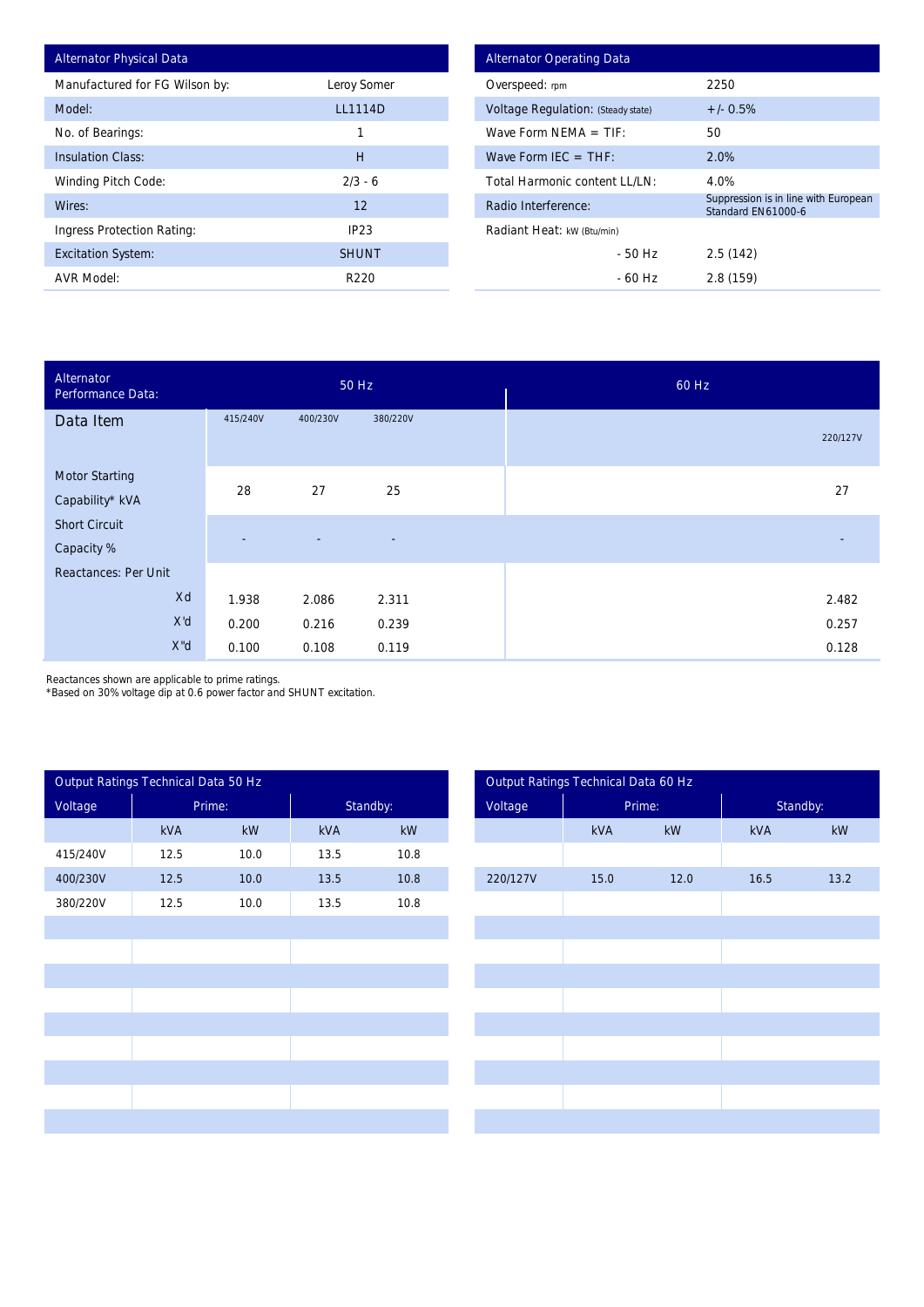| <b>Alternator Physical Data</b> |                |
|---------------------------------|----------------|
| Manufactured for FG Wilson by:  | Leroy Somer    |
| Model:                          | <b>LL1114D</b> |
| No. of Bearings:                | 1              |
| <b>Insulation Class:</b>        | Н              |
| <b>Winding Pitch Code:</b>      | $2/3 - 6$      |
| Wires:                          | 12             |
| Ingress Protection Rating:      | IP23           |
| <b>Excitation System:</b>       | <b>SHUNT</b>   |
| <b>AVR Model:</b>               | R220           |

| <b>Alternator Operating Data</b>          |                                                            |  |  |  |  |  |  |
|-------------------------------------------|------------------------------------------------------------|--|--|--|--|--|--|
| Overspeed: rpm                            | 2250                                                       |  |  |  |  |  |  |
| <b>Voltage Regulation: (Steady state)</b> | $+/- 0.5%$                                                 |  |  |  |  |  |  |
| Wave Form NFMA $=$ TIF:                   | 50                                                         |  |  |  |  |  |  |
| Wave Form IFC = $THF$ :                   | 2.0%                                                       |  |  |  |  |  |  |
| Total Harmonic content LL/LN:             | 4.0%                                                       |  |  |  |  |  |  |
| Radio Interference:                       | Suppression is in line with European<br>Standard EN61000-6 |  |  |  |  |  |  |
| Radiant Heat: kW (Btu/min)                |                                                            |  |  |  |  |  |  |
| - 50 Hz                                   | 2.5(142)                                                   |  |  |  |  |  |  |
| - 60 Hz                                   | 2.8(159)                                                   |  |  |  |  |  |  |

| Model:                                                                                                                   |                     |                    |            | LL1114D                 |                               |                            | Voltage Regulation: (Steady state)  |                                                            | $+/- 0.5%$ |           |  |
|--------------------------------------------------------------------------------------------------------------------------|---------------------|--------------------|------------|-------------------------|-------------------------------|----------------------------|-------------------------------------|------------------------------------------------------------|------------|-----------|--|
| No. of Bearings:                                                                                                         |                     |                    |            | $\mathbf{1}$            |                               |                            | Wave Form NEMA $=$ TIF:             |                                                            | 50         |           |  |
| <b>Insulation Class:</b>                                                                                                 |                     |                    |            | $\overline{\mathsf{H}}$ |                               | Wave Form IEC = $THF$ :    |                                     |                                                            | 2.0%       |           |  |
| Winding Pitch Code:                                                                                                      |                     | $2/3 - 6$          |            |                         | Total Harmonic content LL/LN: |                            |                                     | 4.0%                                                       |            |           |  |
| Wires:                                                                                                                   |                     | 12                 |            |                         | Radio Interference:           |                            |                                     | Suppression is in line with European<br>Standard EN61000-6 |            |           |  |
| <b>Ingress Protection Rating:</b>                                                                                        |                     | IP <sub>23</sub>   |            |                         |                               | Radiant Heat: kW (Btu/min) |                                     |                                                            |            |           |  |
| <b>Excitation System:</b>                                                                                                |                     |                    |            | <b>SHUNT</b>            |                               |                            | $-50$ Hz                            |                                                            | 2.5(142)   |           |  |
| <b>AVR Model:</b>                                                                                                        |                     |                    |            | R220                    |                               |                            | $-60$ Hz                            |                                                            | 2.8 (159)  |           |  |
|                                                                                                                          |                     |                    |            |                         |                               |                            |                                     |                                                            |            |           |  |
| <b>Alternator</b><br>Performance Data:                                                                                   |                     |                    |            | 50 Hz                   | 60 Hz                         |                            |                                     |                                                            |            |           |  |
| Data Item                                                                                                                |                     | 415/240V           | 400/230V   | 380/220V                |                               |                            |                                     |                                                            |            | 220/127V  |  |
| <b>Motor Starting</b>                                                                                                    |                     |                    |            |                         |                               |                            |                                     |                                                            |            |           |  |
| Capability* kVA                                                                                                          |                     | 28                 | 27         | 25                      |                               |                            |                                     |                                                            |            | 27        |  |
| <b>Short Circuit</b>                                                                                                     |                     |                    |            |                         |                               |                            |                                     |                                                            |            |           |  |
| Capacity %                                                                                                               |                     |                    |            |                         |                               |                            |                                     |                                                            |            |           |  |
| <b>Reactances: Per Unit</b>                                                                                              |                     |                    |            |                         |                               |                            |                                     |                                                            |            |           |  |
|                                                                                                                          | Xd                  | 1.938              | 2.086      | 2.311                   |                               |                            |                                     |                                                            |            | 2.482     |  |
|                                                                                                                          | X'd                 | 0.200              | 0.216      | 0.239                   |                               |                            |                                     |                                                            |            | 0.257     |  |
|                                                                                                                          | $X^{\prime\prime}d$ | 0.100              | 0.108      | 0.119                   |                               |                            |                                     |                                                            |            | 0.128     |  |
| Reactances shown are applicable to prime ratings.<br>*Based on 30% voltage dip at 0.6 power factor and SHUNT excitation. |                     |                    |            |                         |                               |                            |                                     |                                                            |            |           |  |
| Output Ratings Technical Data 50 Hz                                                                                      |                     |                    |            |                         |                               |                            | Output Ratings Technical Data 60 Hz |                                                            |            |           |  |
| Voltage                                                                                                                  |                     | Prime:<br>Standby: |            |                         | Voltage<br>Prime:             |                            |                                     | Standby:                                                   |            |           |  |
|                                                                                                                          | <b>kVA</b>          | <b>kW</b>          | <b>kVA</b> | kW                      |                               |                            | <b>kVA</b>                          | kW                                                         | kVA        | <b>kW</b> |  |
| 415/240V                                                                                                                 | 12.5                | 10.0               | 13.5       | 10.8                    |                               |                            |                                     |                                                            |            |           |  |
| 400/230V                                                                                                                 | 12.5                | 10.0               | 13.5       | 10.8                    |                               | 220/127V                   | 15.0                                | 12.0                                                       | 16.5       | 13.2      |  |

| Output Ratings Technical Data 50 Hz |        |      |            |      | Output Ratings Technical Data 60 Hz |            |      |            |      |
|-------------------------------------|--------|------|------------|------|-------------------------------------|------------|------|------------|------|
| Voltage                             | Prime: |      | Standby:   |      | Voltage                             | Prime:     |      | Standby:   |      |
|                                     | kVA    | kW   | <b>kVA</b> | kW   |                                     | <b>kVA</b> | kW   | <b>kVA</b> | kW   |
| 415/240V                            | 12.5   | 10.0 | 13.5       | 10.8 |                                     |            |      |            |      |
| 400/230V                            | 12.5   | 10.0 | 13.5       | 10.8 | 220/127V                            | 15.0       | 12.0 | 16.5       | 13.2 |
| 380/220V                            | 12.5   | 10.0 | 13.5       | 10.8 |                                     |            |      |            |      |
|                                     |        |      |            |      |                                     |            |      |            |      |
|                                     |        |      |            |      |                                     |            |      |            |      |
|                                     |        |      |            |      |                                     |            |      |            |      |
|                                     |        |      |            |      |                                     |            |      |            |      |
|                                     |        |      |            |      |                                     |            |      |            |      |
|                                     |        |      |            |      |                                     |            |      |            |      |
|                                     |        |      |            |      |                                     |            |      |            |      |
|                                     |        |      |            |      |                                     |            |      |            |      |
|                                     |        |      |            |      |                                     |            |      |            |      |